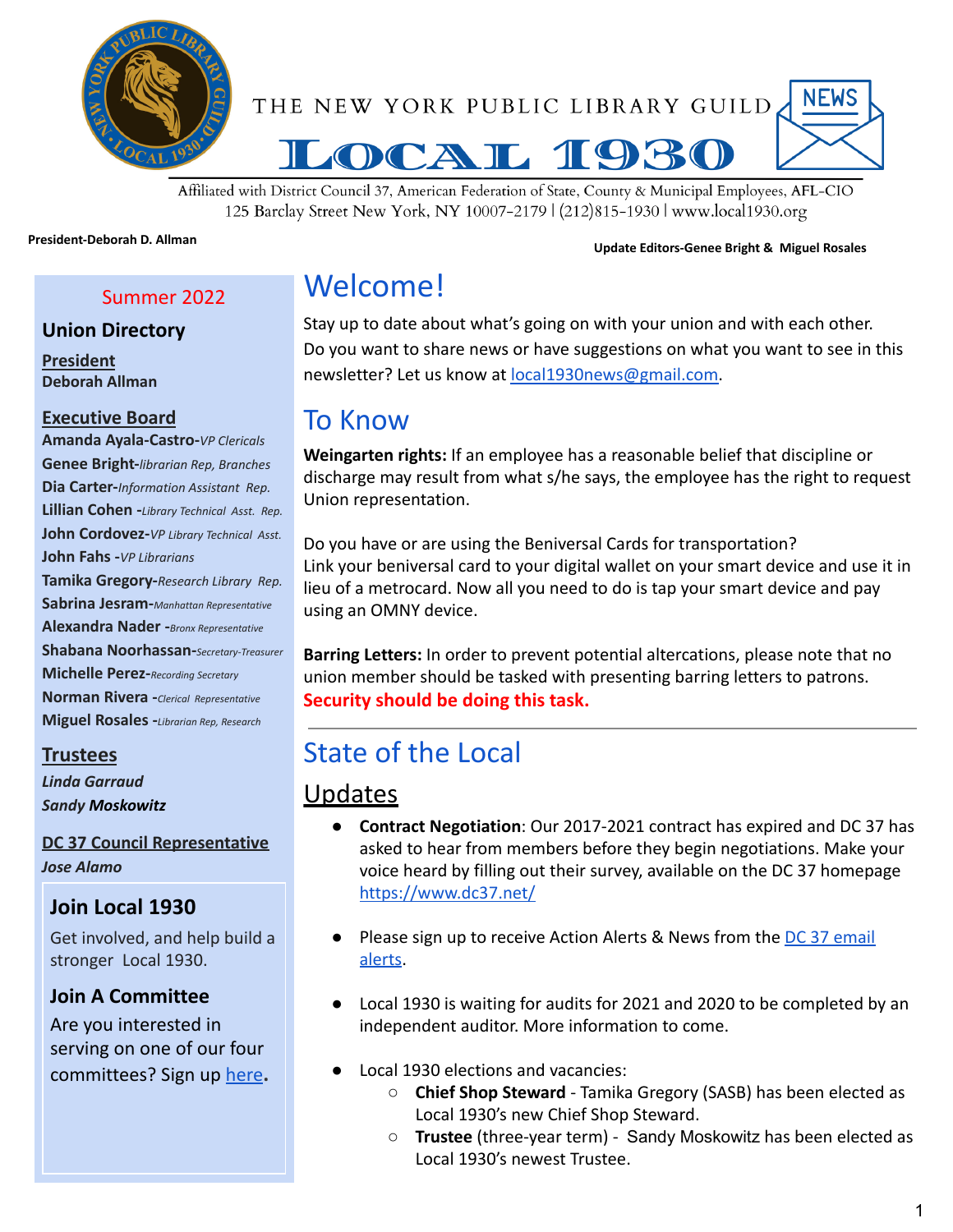

**NEWS** THE NEW YORK PUBLIC LIBRARY GUILD



Affiliated with District Council 37, American Federation of State, County & Municipal Employees, AFL-CIO 125 Barclay Street New York, NY 10007-2179 | (212)815-1930 | www.local1930.org

## **President-Deborah D. Allman Update Editors-Genee Bright & Miguel Rosales**

Summer 2022

### **Union Directory**

**President Deborah Allman**

#### **Executive Board**

**Amanda Ayala-Castro-***VP Clericals* **Genee Bright-***librarian Rep, Branches* **Dia Carter-***Information Assistant Rep.* **Lillian Cohen -***Library Technical Asst. Rep.* **John Cordovez-***VP Library Technical Asst.* **John Fahs -***VP Librarians* **Tamika Gregory-***Research Library Rep.* **Sabrina Jesram-***Manhattan Representative* **Alexandra Nader -***Bronx Representative* **Shabana Noorhassan-***Secretary-Treasurer* **Michelle Perez-***Recording Secretary* **Norman Rivera -***Clerical Representative* **Miguel Rosales -***Librarian Rep, Research*

#### **Trustees**

*Linda Garraud Sandy Moskowitz*

#### **DC 37 Council Representative**

*Jose Alamo*

## **Join Local 1930**

Get involved, and help build a stronger Local 1930.

### **Join A Committee**

Are you interested in serving on one of our four committees? Sign up [here](https://www.local1930.org/committees)**.**

# Welcome!

Stay up to date about what's going on with your union and with each other. Do you want to share news or have suggestions on what you want to see in this newsletter? Let us know at [local1930news@gmail.com.](mailto:local1930news@gmail.com)

## To Know

**Weingarten rights:** If an employee has a reasonable belief that discipline or discharge may result from what s/he says, the employee has the right to request Union representation.

Do you have or are using the Beniversal Cards for transportation? Link your beniversal card to your digital wallet on your smart device and use it in lieu of a metrocard. Now all you need to do is tap your smart device and pay using an OMNY device.

**Barring Letters:** In order to prevent potential altercations, please note that no union member should be tasked with presenting barring letters to patrons. **Security should be doing this task.**

# State of the Local

## Updates

- **Contract Negotiation**: Our 2017-2021 contract has expired and DC 37 has asked to hear from members before they begin negotiations. Make your voice heard by filling out their survey, available on the DC 37 homepage <https://www.dc37.net/>
- Please sign up to receive Action Alerts & News from the **[DC 37 email](https://actionnetwork.org/forms/sign-up-for-dc-37-email-alerts)** [alerts](https://actionnetwork.org/forms/sign-up-for-dc-37-email-alerts).
- Local 1930 is waiting for audits for 2021 and 2020 to be completed by an independent auditor. More information to come.
- Local 1930 elections and vacancies:
	- **Chief Shop Steward** Tamika Gregory (SASB) has been elected as Local 1930's new Chief Shop Steward.
	- **Trustee** (three-year term) Sandy Moskowitz has been elected as Local 1930's newest Trustee.